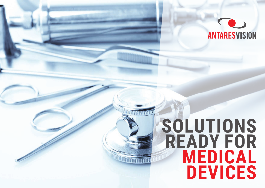

# **SOLUTIONS READY FOR MEDICAL DEVICEs**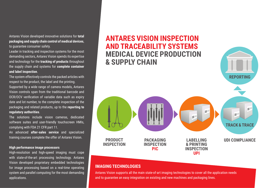Antares Vision developed innovative solutions for **total packaging and supply chain control of medical devices**, to guarantee consumer safety.

Leader in tracking and inspection systems for the most demanding sectors, Antares Vision spends its expertise and technology for the **tracking of products** throughout the supply chain and systems for **complete container and label inspection**.

The system effectively controls the packed articles with respect to the product, the label and the printing.

Supported by a wide range of camera models, Antares Vision controls span from the traditional barcode and OCR/OCV verification of variable data such as expiry date and lot number, to the complete inspection of the packaging and related products, up to the **reporting to regulatory authorities**.

The solutions include vision cameras, dedicated software suites and user-friendly touchscreen HMIs, complying with FDA 21 CFR part 11.

An advanced **after-sales service** and specialized training courses complete the offer of Antares Vision.

#### **High performance image processors**

High-resolution and high-speed imaging must cope with state-of-the-art processing technology. Antares Vision developed proprietary embedded technologies for image processing based on a real-time operating system and parallel computing for the most demanding applications.



## **IMAGING TECHNOLOGIES**

Antares Vision supports all the main state-of-art imaging technologies to cover all the application needs and to guarantee an easy integration on existing and new machines and packaging lines.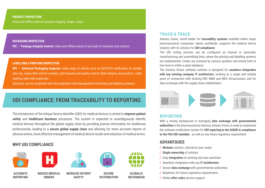#### **PRODUCT INSPECTION**

Inline and offline check of product integrity, shape, colour.

#### **PACKAGING INSPECTION**

**PIC • Package Integrity Control:** inline and offline check of any fault of container and content.

#### **LABELLING & PRINTING INSPECTION**

**UPI • Universal Packaging Inspector:** wide range of checks such as OCR/OCV verification of variable data (eg. expiry date and lot number), print layouts and quality control, label integrity and position, codes reading, label web inspection.

Solutions can be completed with the integration and management of printing and labelling systems

# **UDI COMPLIANCE: from traceability to reporting**

The introduction of the Unique Device Identifier (UDI) for medical devices is aimed to **improve patient safety** and **healthcare business** processes. The system is expected to unambiguously identify medical devices throughout the global supply chain by providing precise information for healthcare professionals, leading to a **secure global supply chain** and allowing for more accurate reports of adverse events, more effective management of medical device recalls and reduction of medical errors.

## **why UDI COMPLIANCE**











### pharmaceutical companies' plants worldwide, supports the medical device industry with its solution for **UDI compliance**.

**TRACK & TRACE**

The UDI coding process can be configured on manual or automatic manufacturing and assembling lines, where the printing and labelling systems are implemented. Codes are scanned by camera systems and stored both at line level or within a plant database.

Antares Vision, world leader for **traceability systems** installed within major

The Antares Vision software solution is designed for **seamless integration with any existing company IT architecture**, working as a single and reliable point of connection with existing ERP, WMS and MES infrastructure, and for data exchange with the supply chain stakeholders.



#### **REPORTING**

With a strong background in managing **data exchange with governmental authorities** in the pharmaceutical industry, Antares Vision is ready to implement the software notification system for **UDI reporting to the GUDID in compliance to the FDA UDI mandate** - as well as any future regulatory requirement.

### **ADVANTAGES**

- **/ Modular** solution, tailored to your needs
- **/ Single ownership** of solution
- **/** Easy **integration** on existing and new machines
- **/** Seamless integration with any **IT architecture**
- **/** Secure **data exchange** with governmental authorities
- **/** Readiness for future regulatory requirements
- **/** Global **after-sales** service support

**ACCURATE REPORTING**

**REDUCE MEDICAL ERRORS**

**INCREASE PATIENT SAFETY**

**SECURE DISTRIBUTION**



**RECOGNIZED**